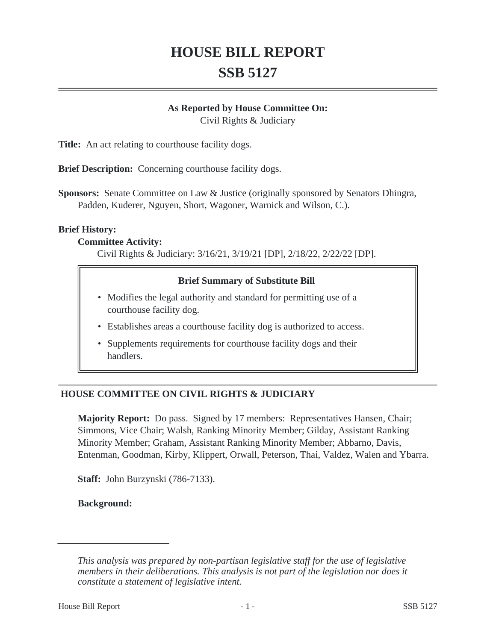# **HOUSE BILL REPORT SSB 5127**

#### **As Reported by House Committee On:**

Civil Rights & Judiciary

**Title:** An act relating to courthouse facility dogs.

**Brief Description:** Concerning courthouse facility dogs.

**Sponsors:** Senate Committee on Law & Justice (originally sponsored by Senators Dhingra, Padden, Kuderer, Nguyen, Short, Wagoner, Warnick and Wilson, C.).

#### **Brief History:**

#### **Committee Activity:**

Civil Rights & Judiciary: 3/16/21, 3/19/21 [DP], 2/18/22, 2/22/22 [DP].

#### **Brief Summary of Substitute Bill**

- Modifies the legal authority and standard for permitting use of a courthouse facility dog.
- Establishes areas a courthouse facility dog is authorized to access.
- Supplements requirements for courthouse facility dogs and their handlers.

## **HOUSE COMMITTEE ON CIVIL RIGHTS & JUDICIARY**

**Majority Report:** Do pass. Signed by 17 members: Representatives Hansen, Chair; Simmons, Vice Chair; Walsh, Ranking Minority Member; Gilday, Assistant Ranking Minority Member; Graham, Assistant Ranking Minority Member; Abbarno, Davis, Entenman, Goodman, Kirby, Klippert, Orwall, Peterson, Thai, Valdez, Walen and Ybarra.

**Staff:** John Burzynski (786-7133).

**Background:**

*This analysis was prepared by non-partisan legislative staff for the use of legislative members in their deliberations. This analysis is not part of the legislation nor does it constitute a statement of legislative intent.*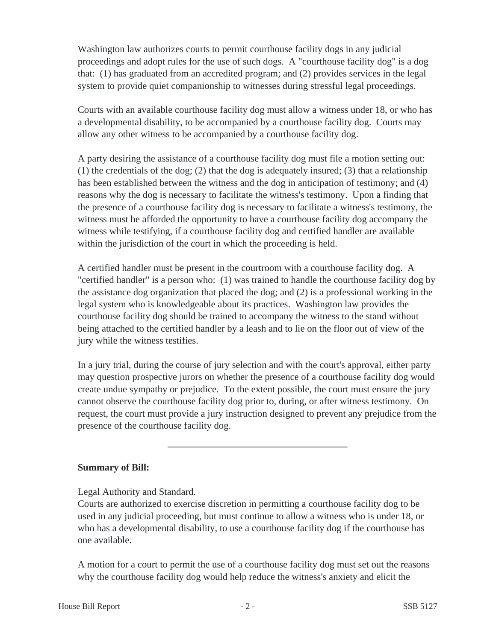Washington law authorizes courts to permit courthouse facility dogs in any judicial proceedings and adopt rules for the use of such dogs. A "courthouse facility dog" is a dog that: (1) has graduated from an accredited program; and (2) provides services in the legal system to provide quiet companionship to witnesses during stressful legal proceedings.

Courts with an available courthouse facility dog must allow a witness under 18, or who has a developmental disability, to be accompanied by a courthouse facility dog. Courts may allow any other witness to be accompanied by a courthouse facility dog.

A party desiring the assistance of a courthouse facility dog must file a motion setting out:  $(1)$  the credentials of the dog;  $(2)$  that the dog is adequately insured;  $(3)$  that a relationship has been established between the witness and the dog in anticipation of testimony; and (4) reasons why the dog is necessary to facilitate the witness's testimony. Upon a finding that the presence of a courthouse facility dog is necessary to facilitate a witness's testimony, the witness must be afforded the opportunity to have a courthouse facility dog accompany the witness while testifying, if a courthouse facility dog and certified handler are available within the jurisdiction of the court in which the proceeding is held.

A certified handler must be present in the courtroom with a courthouse facility dog. A "certified handler" is a person who: (1) was trained to handle the courthouse facility dog by the assistance dog organization that placed the dog; and (2) is a professional working in the legal system who is knowledgeable about its practices. Washington law provides the courthouse facility dog should be trained to accompany the witness to the stand without being attached to the certified handler by a leash and to lie on the floor out of view of the jury while the witness testifies.

In a jury trial, during the course of jury selection and with the court's approval, either party may question prospective jurors on whether the presence of a courthouse facility dog would create undue sympathy or prejudice. To the extent possible, the court must ensure the jury cannot observe the courthouse facility dog prior to, during, or after witness testimony. On request, the court must provide a jury instruction designed to prevent any prejudice from the presence of the courthouse facility dog.

## **Summary of Bill:**

## Legal Authority and Standard.

Courts are authorized to exercise discretion in permitting a courthouse facility dog to be used in any judicial proceeding, but must continue to allow a witness who is under 18, or who has a developmental disability, to use a courthouse facility dog if the courthouse has one available.

A motion for a court to permit the use of a courthouse facility dog must set out the reasons why the courthouse facility dog would help reduce the witness's anxiety and elicit the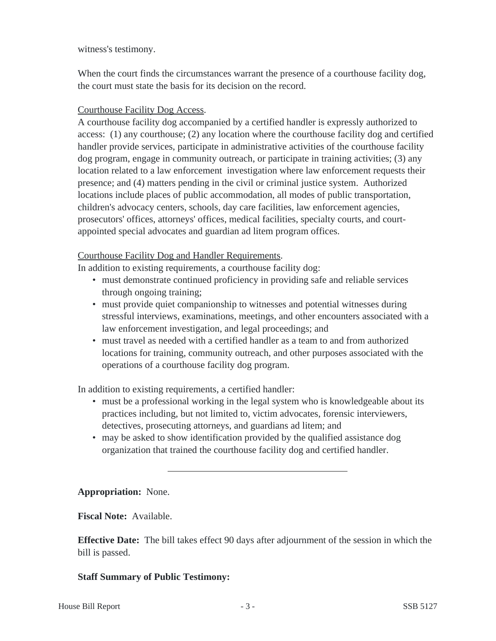witness's testimony.

When the court finds the circumstances warrant the presence of a courthouse facility dog, the court must state the basis for its decision on the record.

# Courthouse Facility Dog Access.

A courthouse facility dog accompanied by a certified handler is expressly authorized to access: (1) any courthouse; (2) any location where the courthouse facility dog and certified handler provide services, participate in administrative activities of the courthouse facility dog program, engage in community outreach, or participate in training activities; (3) any location related to a law enforcement investigation where law enforcement requests their presence; and (4) matters pending in the civil or criminal justice system. Authorized locations include places of public accommodation, all modes of public transportation, children's advocacy centers, schools, day care facilities, law enforcement agencies, prosecutors' offices, attorneys' offices, medical facilities, specialty courts, and courtappointed special advocates and guardian ad litem program offices.

# Courthouse Facility Dog and Handler Requirements.

In addition to existing requirements, a courthouse facility dog:

- must demonstrate continued proficiency in providing safe and reliable services through ongoing training;
- must provide quiet companionship to witnesses and potential witnesses during stressful interviews, examinations, meetings, and other encounters associated with a law enforcement investigation, and legal proceedings; and
- must travel as needed with a certified handler as a team to and from authorized locations for training, community outreach, and other purposes associated with the operations of a courthouse facility dog program.

In addition to existing requirements, a certified handler:

- must be a professional working in the legal system who is knowledgeable about its practices including, but not limited to, victim advocates, forensic interviewers, detectives, prosecuting attorneys, and guardians ad litem; and
- may be asked to show identification provided by the qualified assistance dog organization that trained the courthouse facility dog and certified handler.

## **Appropriation:** None.

**Fiscal Note:** Available.

**Effective Date:** The bill takes effect 90 days after adjournment of the session in which the bill is passed.

## **Staff Summary of Public Testimony:**